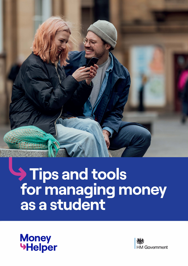

# Tips and tools<br>for managing money<br>as a student



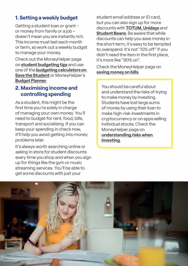# **1. Setting a weekly budget**

Getting a student loan or grant or money from family or a job doesn't mean you are instantly rich. This income must last each month or term, so work out a weekly budget to manage your money.

Check out the MoneyHelper page on **[student budgeting tips](https://linkprotect.cudasvc.com/url?a=https%3a%2f%2fwww.moneyhelper.org.uk%2fen%2ffamily-and-care%2fstudent-and-graduate-money%2fbudgeting-for-college-or-university&c=E,1,2Mfaw5g97sbUG0Y58S-w2aFtOPcRM88hLR3TCvJeK_imz0RfUe26XClv-CaLN02aBRketFqZsqINv8Dk7KhtssCHACcC3ciJ8LgepwWFng,,&typo=1)** and use one of the **[budgeting calculators on](https://linkprotect.cudasvc.com/url?a=https%3a%2f%2fwww.savethestudent.org%2fmoney%2fstudent-budgeting%2fstudent-budget-calculators.html&c=E,1,bqIwA6ZiVlHCGP7B-qItSJE-idWVF6492vrnATz_ESASDb-VfV86APnqR9sAcjR38l8PTndfhLRL3kJ58923qZJpJIMrFn31c82QzHKDON0LZdJa&typo=1)  Save the Student** or MoneyHelper's **[Budget Planner](https://www.moneyhelper.org.uk/en/everyday-money/budgeting/budget-planner.).** 

#### **2. Maximising income and controlling spending**

As a student, this might be the first time you're solely in charge of managing your own money. You'll need to budget for rent, food, bills, transport and socialising. If you can keep your spending in check now, it'll help you avoid getting into money problems later.

It's always worth searching on line or asking in store for student discounts every time you shop and when you sign up for things like the gym or music streaming services. You'll be able to get some discounts with just your

student email address or ID card, but you can also sign up for more discounts with **[TOTUM](https://www.totum.com/), [Unidays](https://www.myunidays.com/GB/en-GB)** and **[Student Beans](https://www.studentbeans.com/uk).** Be aware that while discounts can help you save money in the short term, it's easy to be tempted to overspend. It's not "10% off" if you didn't need the item in the first place, it's more like "90% on".

Check the MoneyHelper page on **[saving money on bills](https://linkprotect.cudasvc.com/url?a=https%3a%2f%2fwww.moneyhelper.org.uk%2fen%2feveryday-money%2fbudgeting%2fhow-to-save-money-on-household-bills&c=E,1,hklnf2Nq1dxk5iFsIOkMT-avQgWe1-Oy1PzflEfs9szpekdO5aHcJlV_ffIyRmteb0hBD-cgZ2ip-d5HjKoJtVzybG1TCFMOji1toi5T6cI7-vUx&typo=1).** 

You should be careful about and understand the risks of trying to make money by investing. Students have lost large sums of money by using their loan to make high-risk investments in cryptocurrency or on apps selling individual stocks. Check the MoneyHelper page on **[understanding risks when](https://www.moneyhelper.org.uk/en/savings/investing/thinking-about-investing-make-sure-you-understand-the-risks)  [investing.](https://www.moneyhelper.org.uk/en/savings/investing/thinking-about-investing-make-sure-you-understand-the-risks)** 

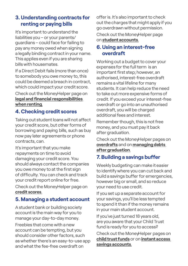# **3. Understanding contracts for renting or paying bi***ll***s**

It's important to understand the liabilities you - or your parents/ guardians - could face for failing to pay any money owed when signing a legally binding contract in your name. This applies even if you are sharing bills with housemates.

If a Direct Debit fails (more than once) to somebody you owe money to, this could be deemed a breach in contract, which could impact your credit score.

Check out the MoneyHelper page on **[legal and financial responsibilities](https://linkprotect.cudasvc.com/url?a=https%3a%2f%2fwww.moneyhelper.org.uk%2fen%2fhomes%2frenting%2fyour-legal-and-financial-responsibilities-when-renting&c=E,1,1wVm8lAlSzInvFDeNsNHcqAxlXNXMVuvLngXuKmcxhCW_yIPWpDS7HTqOmxtr9C5YVgUizf2xlUfcZQO9RRG0KO7uYYvyzTpZpzS8vIqAgFa&typo=1)  [when renting.](https://linkprotect.cudasvc.com/url?a=https%3a%2f%2fwww.moneyhelper.org.uk%2fen%2fhomes%2frenting%2fyour-legal-and-financial-responsibilities-when-renting&c=E,1,1wVm8lAlSzInvFDeNsNHcqAxlXNXMVuvLngXuKmcxhCW_yIPWpDS7HTqOmxtr9C5YVgUizf2xlUfcZQO9RRG0KO7uYYvyzTpZpzS8vIqAgFa&typo=1)** 

# **4. Checking credit scores**

Taking out student loans will not affect your credit score, but other forms of borrowing and paying bills, such as buy now pay later agreements or phone contracts, can.

It's important that you make repayments on time to avoid damaging your credit score. You should always contact the companies you owe money to at the first sign of difficulty. You can check and track your credit report online for free.

Check out the MoneyHelper page on **[credit scores](https://linkprotect.cudasvc.com/url?a=https%3a%2f%2fwww.moneyhelper.org.uk%2fen%2feveryday-money%2fcredit-and-purchases%2fhow-your-credit-score-affects-the-cost-of-borrowing&c=E,1,kUPjVbsLydZOArQ380ZCDX3j1zKkjYh2NnoZMI3lnHFYBDKQmxQ3ptYdn8kczasALx0_FiEE9dgKiPVDRv7L5v0RRYUn-F2h8dVWo4wMlp15U0mbfQ0S--d1&typo=1).** 

# **5. Managing a student account**

A student bank or building society account is the main way for you to manage your day-to-day money.

Freebies that come with a new account can be tempting, but you should consider other factors, such as whether there's an easy-to-use app and what the fee-free overdraft on

offer is. It's also important to check out the charges that might apply if you go overdrawn without permission.

Check out the MoneyHelper page on **[student accounts](https://linkprotect.cudasvc.com/url?a=https%3a%2f%2fwww.moneyhelper.org.uk%2fen%2ffamily-and-care%2fstudent-and-graduate-money%2fstudent-and-graduate-bank-accounts&c=E,1,D8eLnEm_qOzFG5qpubRrCJr3YKynjsrCKKFCj2eYLR6eLGDdfP9nbc4uQdk6J38MtNvZDKTBKBvbbtDEWxCPnk48BwfRRLawiwK9vyxhWfs,&typo=1).** 

#### **6. Using an interest-free overdraft**

Working out a budget to cover your expenses for the full term is an important first step; however, an authorised, interest-free overdraft remains a vital lifeline for many students. It can help reduce the need to take out more expensive forms of credit. If you exceed your interest-free overdraft or go into an unauthorised overdraft, you will be charged additional fees and interest.

Remember though, this is not free money, and you must pay it back after graduation.

Check out the MoneyHelper pages on **[overdrafts](https://linkprotect.cudasvc.com/url?a=https%3a%2f%2fwww.moneyhelper.org.uk%2fen%2feveryday-money%2ftypes-of-credit%2foverdrafts-explained&c=E,1,T7gWQmFFrUeixWCTSLdu4OISfQoI3s5R4AhT-Jg-zCeyyZz-CkyzN6iDIjIYJ6CJ5lzvL8cDApK2_sXWbhethkyVHkuMv66_ExH1sPw9LO6STSltnjI,&typo=1)** and on **[managing debts](https://linkprotect.cudasvc.com/url?a=https%3a%2f%2fwww.moneyhelper.org.uk%2fen%2ffamily-and-care%2fstudent-and-graduate-money%2fhow-to-deal-with-debts-after-graduation-from-university&c=E,1,-uxIQ99rUq3SZ9uHlHT98b1D74yxHIXT_zPnnZcvfRzQeMhNylzKTXsfy5zH3DeQaMsu5Hym3eleBtGzPt0_X3Rdbuh_90yuxtpymBfnr_toPtZC&typo=1)  [after graduation](https://linkprotect.cudasvc.com/url?a=https%3a%2f%2fwww.moneyhelper.org.uk%2fen%2ffamily-and-care%2fstudent-and-graduate-money%2fhow-to-deal-with-debts-after-graduation-from-university&c=E,1,-uxIQ99rUq3SZ9uHlHT98b1D74yxHIXT_zPnnZcvfRzQeMhNylzKTXsfy5zH3DeQaMsu5Hym3eleBtGzPt0_X3Rdbuh_90yuxtpymBfnr_toPtZC&typo=1).** 

# **7. Bui***l***ding a savings buffer**

Weekly budgeting can make it easier to identify where you can cut back and build a savings buffer for emergencies, however big or small, and so reduce your need to use credit.

If you set up a separate account for your savings, you'll be less tempted to spend it than if the money remains in your main student account.

If you've just turned 18 years old, are you aware that your Child Trust fund is ready for you to access?

Check out the MoneyHelper pages on **[child trust funds](https://linkprotect.cudasvc.com/url?a=https%3a%2f%2fwww.moneyhelper.org.uk%2fen%2fsavings%2ftypes-of-savings%2fchild-trust-funds&c=E,1,oFKxwYwKpnY09UZIS1Qaa73q4InQk-HaeN8CBfbtXDfxe82SNa6BEnQynppHBzRvzblPloDQ1x-TuRfJ8F9p4CVP5hPtluVJMbmfKhCi8beF&typo=1)** or on **[instant access](https://linkprotect.cudasvc.com/url?a=https%3a%2f%2fwww.moneyhelper.org.uk%2fen%2fsavings%2ftypes-of-savings%2finstant-access-savings-accounts&c=E,1,ELD5NeWRIAksRJwl7QQB1e0Srnqe1-y5whpZFwA_MNel_xWAAXfAwml-eghwyxSIxg2C1WWD9zmyLSJRrJ2ESd0uFKpLepsiYMAYUDqPJIPN4NJ4aKD1MZI4pw,,&typo=1)  [savings accounts.](https://linkprotect.cudasvc.com/url?a=https%3a%2f%2fwww.moneyhelper.org.uk%2fen%2fsavings%2ftypes-of-savings%2finstant-access-savings-accounts&c=E,1,ELD5NeWRIAksRJwl7QQB1e0Srnqe1-y5whpZFwA_MNel_xWAAXfAwml-eghwyxSIxg2C1WWD9zmyLSJRrJ2ESd0uFKpLepsiYMAYUDqPJIPN4NJ4aKD1MZI4pw,,&typo=1)**